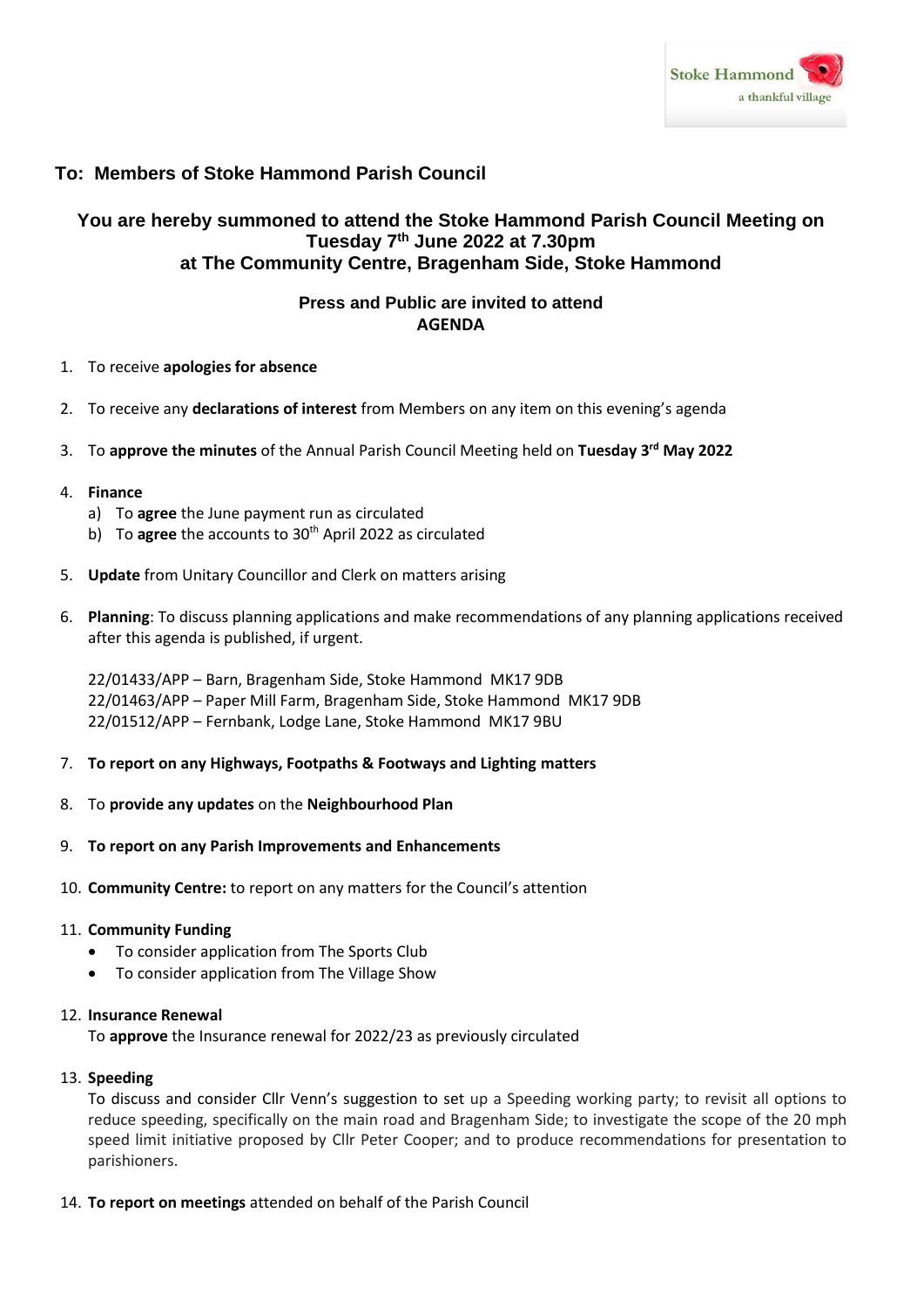

# **To: Members of Stoke Hammond Parish Council**

# **You are hereby summoned to attend the Stoke Hammond Parish Council Meeting on Tuesday 7 th June 2022 at 7.30pm at The Community Centre, Bragenham Side, Stoke Hammond**

## **Press and Public are invited to attend AGENDA**

- 1. To receive **apologies for absence**
- 2. To receive any **declarations of interest** from Members on any item on this evening's agenda
- 3. To **approve the minutes** of the Annual Parish Council Meeting held on **Tuesday 3 rd May 2022**
- 4. **Finance**
	- a) To **agree** the June payment run as circulated
	- b) To **agree** the accounts to 30<sup>th</sup> April 2022 as circulated
- 5. **Update** from Unitary Councillor and Clerk on matters arising
- 6. **Planning**: To discuss planning applications and make recommendations of any planning applications received after this agenda is published, if urgent.

22/01433/APP – Barn, Bragenham Side, Stoke Hammond MK17 9DB 22/01463/APP – Paper Mill Farm, Bragenham Side, Stoke Hammond MK17 9DB 22/01512/APP – Fernbank, Lodge Lane, Stoke Hammond MK17 9BU

- 7. **To report on any Highways, Footpaths & Footways and Lighting matters**
- 8. To **provide any updates** on the **Neighbourhood Plan**
- 9. **To report on any Parish Improvements and Enhancements**
- 10. **Community Centre:** to report on any matters for the Council's attention

#### 11. **Community Funding**

- To consider application from The Sports Club
- To consider application from The Village Show

### 12. **Insurance Renewal**

To **approve** the Insurance renewal for 2022/23 as previously circulated

#### 13. **Speeding**

To discuss and consider Cllr Venn's suggestion to set up a Speeding working party; to revisit all options to reduce speeding, specifically on the main road and Bragenham Side; to investigate the scope of the 20 mph speed limit initiative proposed by Cllr Peter Cooper; and to produce recommendations for presentation to parishioners.

14. **To report on meetings** attended on behalf of the Parish Council